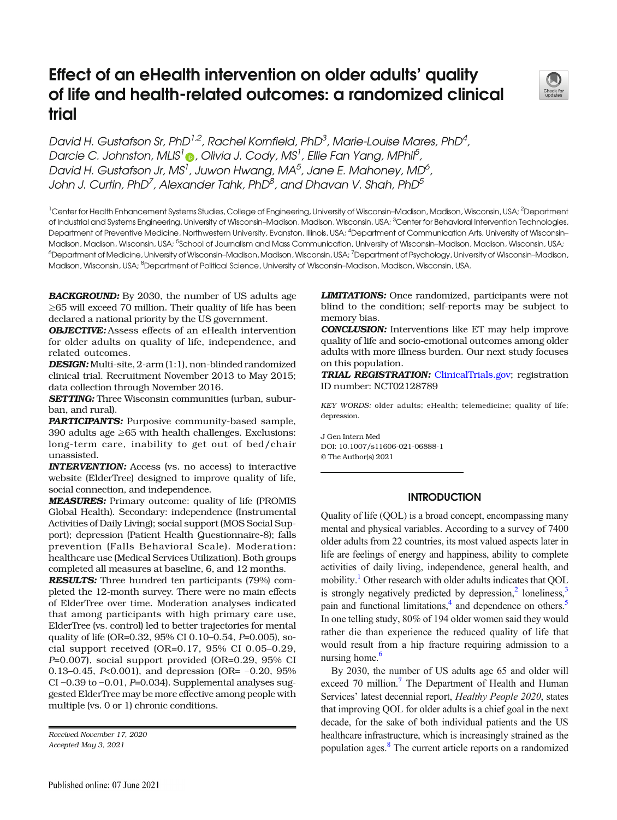# Effect of an eHealth intervention on older adults' quality of life and health-related outcomes: a randomized clinical trial



David H. Gustafson Sr, PhD $^{1,2}$ , Rachel Kornfield, PhD $^3$ , Marie-Louise Mares, PhD $^4$ , Darcie C. Johnston[,](#page-6-0) MLIS<sup>1</sup> , Olivia J. Cody, MS<sup>1</sup>, Ellie Fan Yang, MPhil<sup>5</sup>, David H. Gustafson Jr, MS<sup>1</sup>, Juwon Hwang, MA $^5$ , Jane E. Mahoney, MD $^6$ , John J. Curtin, PhD $^7$ , Alexander Tahk, PhD $^8$ , and Dhavan V. Shah, PhD $^5$ 

<sup>1</sup>Center for Health Enhancement Systems Studies, College of Engineering, University of Wisconsin-Madison, Madison, Wisconsin, USA; <sup>2</sup>Department of Industrial and Systems Engineering, University of Wisconsin–Madison, Madison, Wisconsin, USA; <sup>3</sup>Center for Behavioral Intervention Technologies, Department of Preventive Medicine, Northwestern University, Evanston, Illinois, USA; <sup>4</sup>Department of Communication Arts, University of Wisconsin-Madison, Madison, Wisconsin, USA; <sup>5</sup>School of Journalism and Mass Communication, University of Wisconsin–Madison, Madison, Wisconsin, USA, <sup>6</sup>Department of Medicine, University of Wisconsin–Madison, Madison, Wisconsin, USA; <sup>7</sup>Department of Psychology, University of Wisconsin–Madison, Madison, Wisconsin, USA; <sup>8</sup>Department of Political Science, University of Wisconsin–Madison, Madison, Wisconsin, USA.

BACKGROUND: By 2030, the number of US adults age ≥65 will exceed 70 million. Their quality of life has been declared a national priority by the US government.

OBJECTIVE: Assess effects of an eHealth intervention for older adults on quality of life, independence, and related outcomes.

DESIGN: Multi-site, 2-arm (1:1), non-blinded randomized clinical trial. Recruitment November 2013 to May 2015; data collection through November 2016.

**SETTING:** Three Wisconsin communities (urban, suburban, and rural).

PARTICIPANTS: Purposive community-based sample, 390 adults age ≥65 with health challenges. Exclusions: long-term care, inability to get out of bed/chair unassisted.

INTERVENTION: Access (vs. no access) to interactive website (ElderTree) designed to improve quality of life, social connection, and independence.

MEASURES: Primary outcome: quality of life (PROMIS Global Health). Secondary: independence (Instrumental Activities of Daily Living); social support (MOS Social Support); depression (Patient Health Questionnaire-8); falls prevention (Falls Behavioral Scale). Moderation: healthcare use (Medical Services Utilization). Both groups completed all measures at baseline, 6, and 12 months.

RESULTS: Three hundred ten participants (79%) completed the 12-month survey. There were no main effects of ElderTree over time. Moderation analyses indicated that among participants with high primary care use, ElderTree (vs. control) led to better trajectories for mental quality of life (OR=0.32, 95% CI 0.10–0.54, P=0.005), social support received (OR=0.17, 95% CI 0.05–0.29, P=0.007), social support provided (OR=0.29, 95% CI 0.13–0.45, P<0.001), and depression (OR= −0.20, 95% CI −0.39 to −0.01, P=0.034). Supplemental analyses suggested ElderTree may be more effective among people with multiple (vs. 0 or 1) chronic conditions.

Received November 17, 2020 Accepted May 3, 2021

LIMITATIONS: Once randomized, participants were not blind to the condition; self-reports may be subject to memory bias.

CONCLUSION: Interventions like ET may help improve quality of life and socio-emotional outcomes among older adults with more illness burden. Our next study focuses on this population.

TRIAL REGISTRATION: [ClinicalTrials.gov;](http://clinicaltrials.gov) registration ID number: NCT02128789

KEY WORDS: older adults; eHealth; telemedicine; quality of life; depression.

J Gen Intern Med DOI: 10.1007/s11606-021-06888-1 © The Author(s) 2021

## **INTRODUCTION**

Quality of life (QOL) is a broad concept, encompassing many mental and physical variables. According to a survey of 7400 older adults from 22 countries, its most valued aspects later in life are feelings of energy and happiness, ability to complete activities of daily living, independence, general health, and mobility.<sup>1</sup> Other research with older adults indicates that QOL is strongly negatively predicted by depression, $\frac{2}{3}$  $\frac{2}{3}$  $\frac{2}{3}$  loneliness, $\frac{3}{3}$ pain and functional limitations,<sup>[4](#page-8-0)</sup> and dependence on others.<sup>5</sup> In one telling study, 80% of 194 older women said they would rather die than experience the reduced quality of life that would result from a hip fracture requiring admission to a nursing home.<sup>[6](#page-8-0)</sup>

By 2030, the number of US adults age 65 and older will exceed 70 million.<sup>7</sup> The Department of Health and Human Services' latest decennial report, Healthy People 2020, states that improving QOL for older adults is a chief goal in the next decade, for the sake of both individual patients and the US healthcare infrastructure, which is increasingly strained as the population ages.[8](#page-8-0) The current article reports on a randomized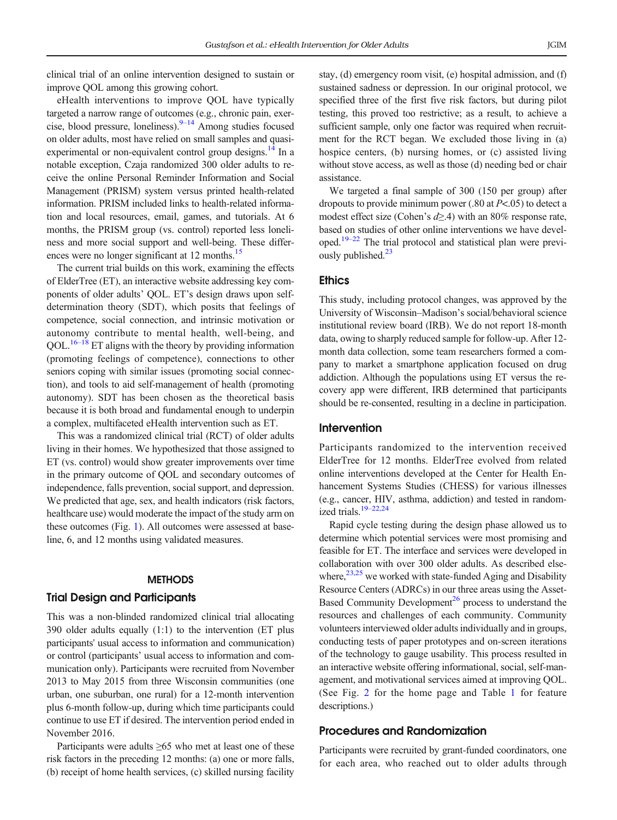clinical trial of an online intervention designed to sustain or improve QOL among this growing cohort.

eHealth interventions to improve QOL have typically targeted a narrow range of outcomes (e.g., chronic pain, exercise, blood pressure, loneliness). $9-14$  $9-14$  Among studies focused on older adults, most have relied on small samples and quasiexperimental or non-equivalent control group designs.<sup>14</sup> In a notable exception, Czaja randomized 300 older adults to receive the online Personal Reminder Information and Social Management (PRISM) system versus printed health-related information. PRISM included links to health-related information and local resources, email, games, and tutorials. At 6 months, the PRISM group (vs. control) reported less loneliness and more social support and well-being. These differences were no longer significant at 12 months. $15$ 

The current trial builds on this work, examining the effects of ElderTree (ET), an interactive website addressing key components of older adults' QOL. ET's design draws upon selfdetermination theory (SDT), which posits that feelings of competence, social connection, and intrinsic motivation or autonomy contribute to mental health, well-being, and  $QOL.<sup>16–18</sup> ET aligns with the theory by providing information$  $QOL.<sup>16–18</sup> ET aligns with the theory by providing information$  $QOL.<sup>16–18</sup> ET aligns with the theory by providing information$  $QOL.<sup>16–18</sup> ET aligns with the theory by providing information$  $QOL.<sup>16–18</sup> ET aligns with the theory by providing information$ (promoting feelings of competence), connections to other seniors coping with similar issues (promoting social connection), and tools to aid self-management of health (promoting autonomy). SDT has been chosen as the theoretical basis because it is both broad and fundamental enough to underpin a complex, multifaceted eHealth intervention such as ET.

This was a randomized clinical trial (RCT) of older adults living in their homes. We hypothesized that those assigned to ET (vs. control) would show greater improvements over time in the primary outcome of QOL and secondary outcomes of independence, falls prevention, social support, and depression. We predicted that age, sex, and health indicators (risk factors, healthcare use) would moderate the impact of the study arm on these outcomes (Fig. [1\)](#page-2-0). All outcomes were assessed at baseline, 6, and 12 months using validated measures.

### **METHODS**

### Trial Design and Participants

This was a non-blinded randomized clinical trial allocating 390 older adults equally (1:1) to the intervention (ET plus participants' usual access to information and communication) or control (participants' usual access to information and communication only). Participants were recruited from November 2013 to May 2015 from three Wisconsin communities (one urban, one suburban, one rural) for a 12-month intervention plus 6-month follow-up, during which time participants could continue to use ET if desired. The intervention period ended in November 2016.

Participants were adults ≥65 who met at least one of these risk factors in the preceding 12 months: (a) one or more falls, (b) receipt of home health services, (c) skilled nursing facility stay, (d) emergency room visit, (e) hospital admission, and (f) sustained sadness or depression. In our original protocol, we specified three of the first five risk factors, but during pilot testing, this proved too restrictive; as a result, to achieve a sufficient sample, only one factor was required when recruitment for the RCT began. We excluded those living in (a) hospice centers, (b) nursing homes, or (c) assisted living without stove access, as well as those (d) needing bed or chair assistance.

We targeted a final sample of 300 (150 per group) after dropouts to provide minimum power (.80 at  $P<0.05$ ) to detect a modest effect size (Cohen's  $d\geq$ .4) with an 80% response rate, based on studies of other online interventions we have developed[.19](#page-8-0)–[22](#page-8-0) The trial protocol and statistical plan were previ-ously published.<sup>[23](#page-8-0)</sup>

## **Ethics**

This study, including protocol changes, was approved by the University of Wisconsin–Madison's social/behavioral science institutional review board (IRB). We do not report 18-month data, owing to sharply reduced sample for follow-up. After 12 month data collection, some team researchers formed a company to market a smartphone application focused on drug addiction. Although the populations using ET versus the recovery app were different, IRB determined that participants should be re-consented, resulting in a decline in participation.

### **Intervention**

Participants randomized to the intervention received ElderTree for 12 months. ElderTree evolved from related online interventions developed at the Center for Health Enhancement Systems Studies (CHESS) for various illnesses (e.g., cancer, HIV, asthma, addiction) and tested in randomized trials[.19](#page-8-0)–[22,24](#page-8-0)

Rapid cycle testing during the design phase allowed us to determine which potential services were most promising and feasible for ET. The interface and services were developed in collaboration with over 300 older adults. As described elsewhere,<sup>23,25</sup> we worked with state-funded Aging and Disability Resource Centers (ADRCs) in our three areas using the Asset-Based Community Development<sup>[26](#page-8-0)</sup> process to understand the resources and challenges of each community. Community volunteers interviewed older adults individually and in groups, conducting tests of paper prototypes and on-screen iterations of the technology to gauge usability. This process resulted in an interactive website offering informational, social, self-management, and motivational services aimed at improving QOL. (See Fig. [2](#page-2-0) for the home page and Table [1](#page-3-0) for feature descriptions.)

## Procedures and Randomization

Participants were recruited by grant-funded coordinators, one for each area, who reached out to older adults through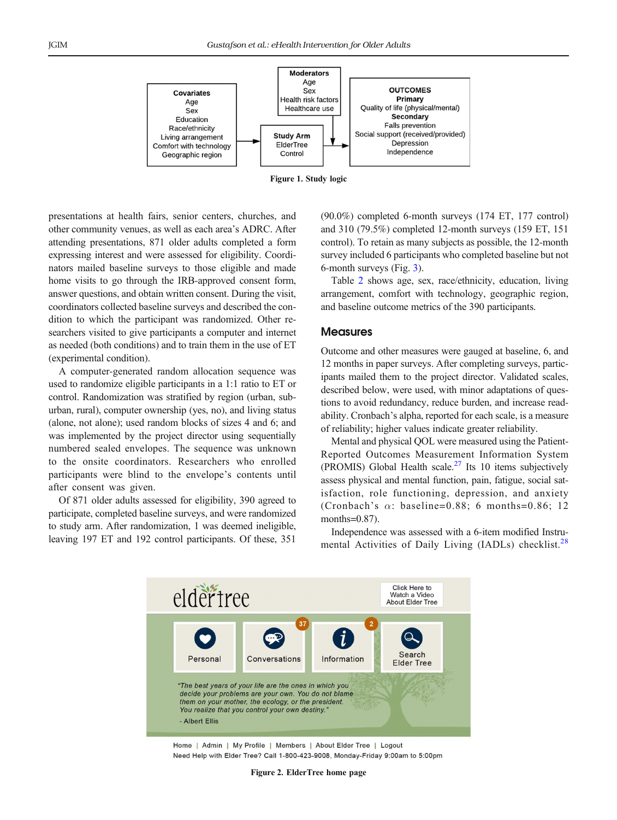

Figure 1. Study logic

presentations at health fairs, senior centers, churches, and other community venues, as well as each area's ADRC. After attending presentations, 871 older adults completed a form expressing interest and were assessed for eligibility. Coordinators mailed baseline surveys to those eligible and made home visits to go through the IRB-approved consent form, answer questions, and obtain written consent. During the visit, coordinators collected baseline surveys and described the condition to which the participant was randomized. Other researchers visited to give participants a computer and internet as needed (both conditions) and to train them in the use of ET (experimental condition).

A computer-generated random allocation sequence was used to randomize eligible participants in a 1:1 ratio to ET or control. Randomization was stratified by region (urban, suburban, rural), computer ownership (yes, no), and living status (alone, not alone); used random blocks of sizes 4 and 6; and was implemented by the project director using sequentially numbered sealed envelopes. The sequence was unknown to the onsite coordinators. Researchers who enrolled participants were blind to the envelope's contents until after consent was given.

Of 871 older adults assessed for eligibility, 390 agreed to participate, completed baseline surveys, and were randomized to study arm. After randomization, 1 was deemed ineligible, leaving 197 ET and 192 control participants. Of these, 351

(90.0%) completed 6-month surveys (174 ET, 177 control) and 310 (79.5%) completed 12-month surveys (159 ET, 151 control). To retain as many subjects as possible, the 12-month survey included 6 participants who completed baseline but not 6-month surveys (Fig. [3\)](#page-4-0).

Table [2](#page-4-0) shows age, sex, race/ethnicity, education, living arrangement, comfort with technology, geographic region, and baseline outcome metrics of the 390 participants.

### **Measures**

Outcome and other measures were gauged at baseline, 6, and 12 months in paper surveys. After completing surveys, participants mailed them to the project director. Validated scales, described below, were used, with minor adaptations of questions to avoid redundancy, reduce burden, and increase readability. Cronbach's alpha, reported for each scale, is a measure of reliability; higher values indicate greater reliability.

Mental and physical QOL were measured using the Patient-Reported Outcomes Measurement Information System (PROMIS) Global Health scale. $^{27}$  Its 10 items subjectively assess physical and mental function, pain, fatigue, social satisfaction, role functioning, depression, and anxiety (Cronbach's  $\alpha$ : baseline=0.88; 6 months=0.86; 12 months=0.87).

Independence was assessed with a 6-item modified Instru-mental Activities of Daily Living (IADLs) checklist.<sup>[28](#page-8-0)</sup>



Home | Admin | My Profile | Members | About Elder Tree | Logout Need Help with Elder Tree? Call 1-800-423-9008, Monday-Friday 9:00am to 5:00pm

<span id="page-2-0"></span>

Figure 2. ElderTree home page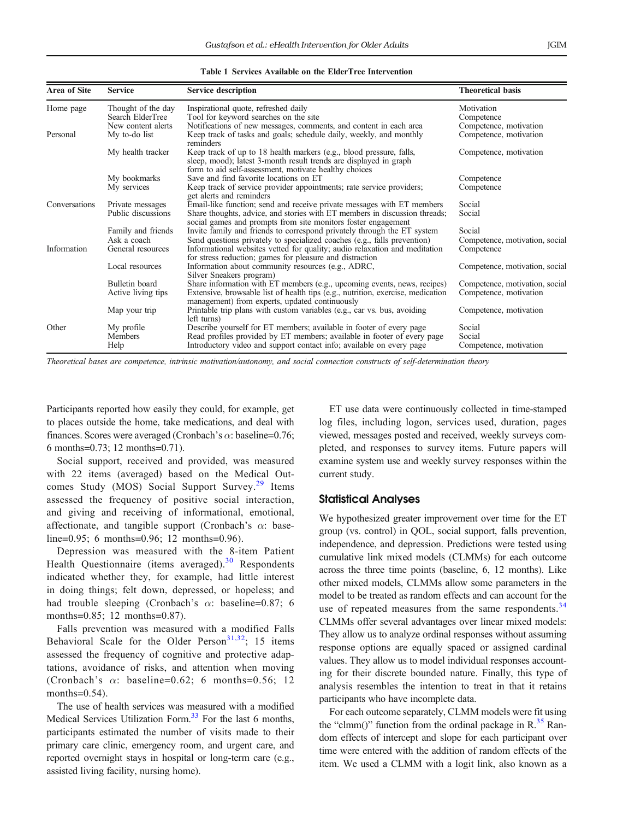|  |  | Table 1 Services Available on the ElderTree Intervention |
|--|--|----------------------------------------------------------|
|  |  |                                                          |

<span id="page-3-0"></span>

| Area of Site  | <b>Service</b>     | <b>Service description</b>                                                                                                                                                                        | <b>Theoretical basis</b>       |
|---------------|--------------------|---------------------------------------------------------------------------------------------------------------------------------------------------------------------------------------------------|--------------------------------|
| Home page     | Thought of the day | Inspirational quote, refreshed daily                                                                                                                                                              | Motivation                     |
|               | Search ElderTree   | Tool for keyword searches on the site                                                                                                                                                             | Competence                     |
|               | New content alerts | Notifications of new messages, comments, and content in each area                                                                                                                                 | Competence, motivation         |
| Personal      | My to-do list      | Keep track of tasks and goals; schedule daily, weekly, and monthly<br>reminders                                                                                                                   | Competence, motivation         |
|               | My health tracker  | Keep track of up to 18 health markers (e.g., blood pressure, falls,<br>sleep, mood); latest 3-month result trends are displayed in graph<br>form to aid self-assessment, motivate healthy choices | Competence, motivation         |
|               | My bookmarks       | Save and find favorite locations on ET                                                                                                                                                            | Competence                     |
|               | My services        | Keep track of service provider appointments; rate service providers;<br>get alerts and reminders                                                                                                  | Competence                     |
| Conversations | Private messages   | Email-like function; send and receive private messages with ET members                                                                                                                            | Social                         |
|               | Public discussions | Share thoughts, advice, and stories with ET members in discussion threads;<br>social games and prompts from site monitors foster engagement                                                       | Social                         |
|               | Family and friends | Invite family and friends to correspond privately through the ET system                                                                                                                           | Social                         |
|               | Ask a coach        | Send questions privately to specialized coaches (e.g., falls prevention)                                                                                                                          | Competence, motivation, social |
| Information   | General resources  | Informational websites vetted for quality; audio relaxation and meditation<br>for stress reduction; games for pleasure and distraction                                                            | Competence                     |
|               | Local resources    | Information about community resources (e.g., ADRC,<br>Silver Sneakers program)                                                                                                                    | Competence, motivation, social |
|               | Bulletin board     | Share information with ET members (e.g., upcoming events, news, recipes)                                                                                                                          | Competence, motivation, social |
|               | Active living tips | Extensive, browsable list of health tips (e.g., nutrition, exercise, medication<br>management) from experts, updated continuously                                                                 | Competence, motivation         |
|               | Map your trip      | Printable trip plans with custom variables (e.g., car vs. bus, avoiding<br>left turns)                                                                                                            | Competence, motivation         |
| Other         | My profile         | Describe yourself for ET members; available in footer of every page                                                                                                                               | Social                         |
|               | Members            | Read profiles provided by ET members; available in footer of every page                                                                                                                           | Social                         |
|               | Help               | Introductory video and support contact info; available on every page                                                                                                                              | Competence, motivation         |

Theoretical bases are competence, intrinsic motivation/autonomy, and social connection constructs of self-determination theory

Participants reported how easily they could, for example, get to places outside the home, take medications, and deal with finances. Scores were averaged (Cronbach's  $\alpha$ : baseline=0.76; 6 months=0.73; 12 months=0.71).

Social support, received and provided, was measured with 22 items (averaged) based on the Medical Out-comes Study (MOS) Social Support Survey.<sup>[29](#page-8-0)</sup> Items assessed the frequency of positive social interaction, and giving and receiving of informational, emotional, affectionate, and tangible support (Cronbach's  $\alpha$ : baseline=0.95; 6 months=0.96; 12 months=0.96).

Depression was measured with the 8-item Patient Health Questionnaire (items averaged). $30$  Respondents indicated whether they, for example, had little interest in doing things; felt down, depressed, or hopeless; and had trouble sleeping (Cronbach's  $\alpha$ : baseline=0.87; 6 months=0.85; 12 months=0.87).

Falls prevention was measured with a modified Falls Behavioral Scale for the Older Person<sup>31,32</sup>; 15 items assessed the frequency of cognitive and protective adaptations, avoidance of risks, and attention when moving (Cronbach's  $\alpha$ : baseline=0.62; 6 months=0.56; 12 months= $0.54$ ).

The use of health services was measured with a modified Medical Services Utilization Form.<sup>33</sup> For the last 6 months, participants estimated the number of visits made to their primary care clinic, emergency room, and urgent care, and reported overnight stays in hospital or long-term care (e.g., assisted living facility, nursing home).

ET use data were continuously collected in time-stamped log files, including logon, services used, duration, pages viewed, messages posted and received, weekly surveys completed, and responses to survey items. Future papers will examine system use and weekly survey responses within the current study.

### Statistical Analyses

We hypothesized greater improvement over time for the ET group (vs. control) in QOL, social support, falls prevention, independence, and depression. Predictions were tested using cumulative link mixed models (CLMMs) for each outcome across the three time points (baseline, 6, 12 months). Like other mixed models, CLMMs allow some parameters in the model to be treated as random effects and can account for the use of repeated measures from the same respondents. $34$ CLMMs offer several advantages over linear mixed models: They allow us to analyze ordinal responses without assuming response options are equally spaced or assigned cardinal values. They allow us to model individual responses accounting for their discrete bounded nature. Finally, this type of analysis resembles the intention to treat in that it retains participants who have incomplete data.

For each outcome separately, CLMM models were fit using the "clmm()" function from the ordinal package in  $R<sup>35</sup>$  Random effects of intercept and slope for each participant over time were entered with the addition of random effects of the item. We used a CLMM with a logit link, also known as a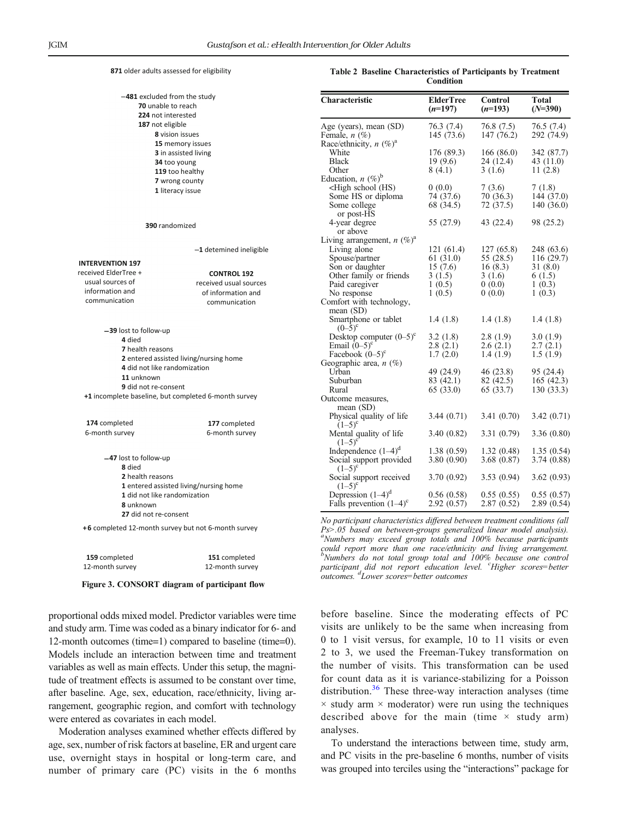<span id="page-4-0"></span>

|                                 | 871 older adults assessed for eligibility            | Table 2 Baseline Characteristics of Participants by Treatment<br>Condition                                                                         |                  |              |             |  |  |  |
|---------------------------------|------------------------------------------------------|----------------------------------------------------------------------------------------------------------------------------------------------------|------------------|--------------|-------------|--|--|--|
|                                 | $-481$ excluded from the study                       | Characteristic                                                                                                                                     | <b>ElderTree</b> | <b>Total</b> |             |  |  |  |
|                                 | 70 unable to reach                                   |                                                                                                                                                    | $(n=197)$        | $(n=193)$    | $(N=390)$   |  |  |  |
|                                 | 224 not interested                                   |                                                                                                                                                    |                  |              |             |  |  |  |
| 187 not eligible                |                                                      | Age (years), mean (SD)                                                                                                                             | 76.3(7.4)        | 76.8 (7.5)   | 76.5(7.4)   |  |  |  |
|                                 | 8 vision issues                                      | Female, $n$ (%)                                                                                                                                    | 145 (73.6)       | 147(76.2)    | 292 (74.9)  |  |  |  |
|                                 | 15 memory issues                                     | Race/ethnicity, $n (\%)^a$                                                                                                                         |                  |              |             |  |  |  |
|                                 | 3 in assisted living                                 | White<br><b>Black</b>                                                                                                                              | 176(89.3)        | 166(86.0)    | 342 (87.7)  |  |  |  |
|                                 | 34 too young                                         | Other                                                                                                                                              | 19(9.6)          | 24 (12.4)    | 43 (11.0)   |  |  |  |
|                                 | 119 too healthy                                      | Education, $n(\%)^b$                                                                                                                               | 8(4.1)           | 3(1.6)       | 11(2.8)     |  |  |  |
|                                 | 7 wrong county                                       | <high (hs)<="" school="" td=""><td>0(0.0)</td><td>7(3.6)</td><td>7(1.8)</td></high>                                                                | 0(0.0)           | 7(3.6)       | 7(1.8)      |  |  |  |
|                                 | 1 literacy issue                                     | Some HS or diploma                                                                                                                                 | 74 (37.6)        | 70 (36.3)    | 144 (37.0)  |  |  |  |
|                                 |                                                      | Some college<br>or post-HS                                                                                                                         | 68 (34.5)        | 72 (37.5)    | 140(36.0)   |  |  |  |
|                                 | 390 randomized                                       | 4-year degree<br>or above                                                                                                                          | 55 (27.9)        | 43 (22.4)    | 98 (25.2)   |  |  |  |
|                                 |                                                      | Living arrangement, $n$ (%) <sup>a</sup>                                                                                                           |                  |              |             |  |  |  |
|                                 | $-1$ detemined ineligible                            | Living alone                                                                                                                                       | 121(61.4)        | 127(65.8)    | 248 (63.6)  |  |  |  |
| <b>INTERVENTION 197</b>         |                                                      | Spouse/partner                                                                                                                                     | 61(31.0)         | 55 (28.5)    | 116(29.7)   |  |  |  |
|                                 |                                                      | Son or daughter                                                                                                                                    | 15(7.6)          | 16(8.3)      | 31(8.0)     |  |  |  |
| received ElderTree +            | <b>CONTROL 192</b>                                   | Other family or friends                                                                                                                            | 3(1.5)           | 3(1.6)       | 6(1.5)      |  |  |  |
| usual sources of                | received usual sources                               | Paid caregiver                                                                                                                                     | 1(0.5)           | 0(0.0)       | 1(0.3)      |  |  |  |
| information and                 | of information and                                   | No response                                                                                                                                        | 1(0.5)           | 0(0.0)       | 1(0.3)      |  |  |  |
| communication                   | communication                                        | Comfort with technology,<br>mean $(SD)$                                                                                                            |                  |              |             |  |  |  |
|                                 |                                                      | Smartphone or tablet                                                                                                                               | 1.4(1.8)         | 1.4(1.8)     | 1.4(1.8)    |  |  |  |
| $-39$ lost to follow-up         |                                                      | $(-5)^c$<br>Desktop computer $(0-5)^c$                                                                                                             | 3.2(1.8)         | 2.8(1.9)     | 3.0(1.9)    |  |  |  |
| 4 died                          |                                                      | Email $(0-5)^c$                                                                                                                                    | 2.8(2.1)         | 2.6(2.1)     | 2.7(2.1)    |  |  |  |
| 7 health reasons                |                                                      | Facebook $(0-5)^c$                                                                                                                                 | 1.7(2.0)         | 1.4(1.9)     | 1.5(1.9)    |  |  |  |
|                                 | 2 entered assisted living/nursing home               | Geographic area, $n$ (%)                                                                                                                           |                  |              |             |  |  |  |
| 4 did not like randomization    |                                                      | Urban                                                                                                                                              | 49 (24.9)        | 46 (23.8)    | 95 (24.4)   |  |  |  |
| 11 unknown                      |                                                      | Suburban                                                                                                                                           | 83(42.1)         | 82 (42.5)    | 165(42.3)   |  |  |  |
| 9 did not re-consent            |                                                      | Rural                                                                                                                                              | 65(33.0)         | 65 (33.7)    | 130(33.3)   |  |  |  |
|                                 | +1 incomplete baseline, but completed 6-month survey | Outcome measures,                                                                                                                                  |                  |              |             |  |  |  |
|                                 |                                                      | mean $(SD)$                                                                                                                                        |                  |              |             |  |  |  |
| 174 completed                   | 177 completed                                        | Physical quality of life<br>$(1-5)^{c}$                                                                                                            | 3.44(0.71)       | 3.41(0.70)   | 3.42(0.71)  |  |  |  |
| 6-month survey                  | 6-month survey                                       | Mental quality of life<br>$(1-5)^{c}$                                                                                                              | 3.40(0.82)       | 3.31(0.79)   | 3.36 (0.80) |  |  |  |
|                                 |                                                      | Independence $(1-4)^d$                                                                                                                             | 1.38(0.59)       | 1.32(0.48)   | 1.35(0.54)  |  |  |  |
| -47 lost to follow-up<br>8 died |                                                      | Social support provided<br>$(1-5)^{c}$                                                                                                             | 3.80(0.90)       | 3.68 (0.87)  | 3.74 (0.88) |  |  |  |
| 2 health reasons                | 1 entered assisted living/nursing home               | Social support received<br>$(1-5)^{c}$                                                                                                             | 3.70 (0.92)      | 3.53 (0.94)  | 3.62(0.93)  |  |  |  |
| 1 did not like randomization    |                                                      | Depression $(1-4)^d$                                                                                                                               | 0.56(0.58)       | 0.55(0.55)   | 0.55(0.57)  |  |  |  |
| 8 unknown                       |                                                      | Falls prevention $(1-4)^c$                                                                                                                         | 2.92 (0.57)      | 2.87(0.52)   | 2.89(0.54)  |  |  |  |
| 27 did not re-consent           |                                                      |                                                                                                                                                    |                  |              |             |  |  |  |
|                                 | +6 completed 12-month survey but not 6-month survey  | No participant characteristics differed between treatment conditions (all<br>$Ps$ > 05 based on between-groups generalized linear model analysis). |                  |              |             |  |  |  |

del analysis). a Numbers may exceed group totals and 100% because participants could report more than one race/ethnicity and living arrangement.<br><sup>b</sup>Numbers do not total group total and 100% because one control  $b$ Numbers do not total group total and  $100\%$  because one control participant did not report education level. <sup>c</sup>Higher scores=better outcomes. <sup>d</sup> Lower scores=better outcomes

before baseline. Since the moderating effects of PC visits are unlikely to be the same when increasing from 0 to 1 visit versus, for example, 10 to 11 visits or even 2 to 3, we used the Freeman-Tukey transformation on the number of visits. This transformation can be used for count data as it is variance-stabilizing for a Poisson distribution.<sup>[36](#page-8-0)</sup> These three-way interaction analyses (time  $\times$  study arm  $\times$  moderator) were run using the techniques described above for the main (time  $\times$  study arm) analyses.

To understand the interactions between time, study arm, and PC visits in the pre-baseline 6 months, number of visits was grouped into terciles using the "interactions" package for

#### Figure 3. CONSORT diagram of participant flow

**151** completed 12-month survey

**159** completed 12-month survey

proportional odds mixed model. Predictor variables were time and study arm. Time was coded as a binary indicator for 6- and 12-month outcomes (time=1) compared to baseline (time=0). Models include an interaction between time and treatment variables as well as main effects. Under this setup, the magnitude of treatment effects is assumed to be constant over time, after baseline. Age, sex, education, race/ethnicity, living arrangement, geographic region, and comfort with technology were entered as covariates in each model.

Moderation analyses examined whether effects differed by age, sex, number of risk factors at baseline, ER and urgent care use, overnight stays in hospital or long-term care, and number of primary care (PC) visits in the 6 months

## Preatment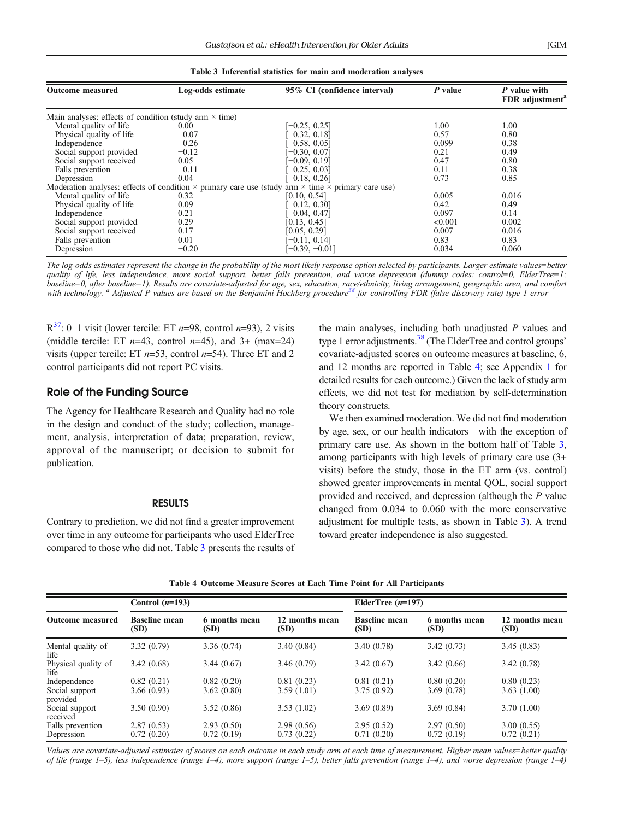Table 3 Inferential statistics for main and moderation analyses

| <b>Outcome measured</b>                                       | Log-odds estimate | 95% CI (confidence interval)                                                                                            | P value | P value with<br>FDR adjustment <sup>a</sup> |
|---------------------------------------------------------------|-------------------|-------------------------------------------------------------------------------------------------------------------------|---------|---------------------------------------------|
| Main analyses: effects of condition (study arm $\times$ time) |                   |                                                                                                                         |         |                                             |
| Mental quality of life                                        | 0.00              | $-0.25, 0.25$                                                                                                           | 1.00    | 1.00                                        |
| Physical quality of life                                      | $-0.07$           | $-0.32, 0.18$                                                                                                           | 0.57    | 0.80                                        |
| Independence                                                  | $-0.26$           | $-0.58, 0.05$                                                                                                           | 0.099   | 0.38                                        |
| Social support provided                                       | $-0.12$           | $-0.30, 0.07$                                                                                                           | 0.21    | 0.49                                        |
| Social support received                                       | 0.05              | $-0.09, 0.19$                                                                                                           | 0.47    | 0.80                                        |
| Falls prevention                                              | $-0.11$           | $-0.25, 0.03$                                                                                                           | 0.11    | 0.38                                        |
| Depression                                                    | 0.04              | $-0.18, 0.26$                                                                                                           | 0.73    | 0.85                                        |
|                                                               |                   | Moderation analyses: effects of condition $\times$ primary care use (study arm $\times$ time $\times$ primary care use) |         |                                             |
| Mental quality of life                                        | 0.32              | [0.10, 0.54]                                                                                                            | 0.005   | 0.016                                       |
| Physical quality of life                                      | 0.09              | $-0.12, 0.30$                                                                                                           | 0.42    | 0.49                                        |
| Independence                                                  | 0.21              | $-0.04, 0.47$                                                                                                           | 0.097   | 0.14                                        |
| Social support provided                                       | 0.29              | [0.13, 0.45]                                                                                                            | < 0.001 | 0.002                                       |
| Social support received                                       | 0.17              | [0.05, 0.29]                                                                                                            | 0.007   | 0.016                                       |
| Falls prevention                                              | 0.01              | $-0.11, 0.14$ ]                                                                                                         | 0.83    | 0.83                                        |
| Depression                                                    | $-0.20$           | $-0.39, -0.01$                                                                                                          | 0.034   | 0.060                                       |

The log-odds estimates represent the change in the probability of the most likely response option selected by participants. Larger estimate values=better quality of life, less independence, more social support, better falls prevention, and worse depression (dummy codes: control=0, ElderTree=1; baseline=0, after baseline=1). Results are covariate-adjusted for age, sex, education, race/ethnicity, living arrangement, geographic area, and comfort with technology. <sup>a</sup> Adjusted P values are based on the Benjamini-Hochberg procedure<sup>38</sup> for controlling FDR (false discovery rate) type 1 error

 $R^{37}$ : 0–1 visit (lower tercile: ET *n*=98, control *n*=93), 2 visits (middle tercile: ET  $n=43$ , control  $n=45$ ), and  $3+$  (max=24) visits (upper tercile: ET  $n=53$ , control  $n=54$ ). Three ET and 2 control participants did not report PC visits.

### Role of the Funding Source

The Agency for Healthcare Research and Quality had no role in the design and conduct of the study; collection, management, analysis, interpretation of data; preparation, review, approval of the manuscript; or decision to submit for publication.

### RESULTS

Contrary to prediction, we did not find a greater improvement over time in any outcome for participants who used ElderTree compared to those who did not. Table 3 presents the results of the main analyses, including both unadjusted  $P$  values and type 1 error adjustments.<sup>[38](#page-8-0)</sup> (The ElderTree and control groups' covariate-adjusted scores on outcome measures at baseline, 6, and 12 months are reported in Table 4; see Appendix 1 for detailed results for each outcome.) Given the lack of study arm effects, we did not test for mediation by self-determination theory constructs.

We then examined moderation. We did not find moderation by age, sex, or our health indicators—with the exception of primary care use. As shown in the bottom half of Table 3, among participants with high levels of primary care use (3+ visits) before the study, those in the ET arm (vs. control) showed greater improvements in mental QOL, social support provided and received, and depression (although the P value changed from 0.034 to 0.060 with the more conservative adjustment for multiple tests, as shown in Table 3). A trend toward greater independence is also suggested.

|  |  |  |  |  |  |  |  |  |  | Table 4 Outcome Measure Scores at Each Time Point for All Participants |
|--|--|--|--|--|--|--|--|--|--|------------------------------------------------------------------------|
|--|--|--|--|--|--|--|--|--|--|------------------------------------------------------------------------|

|                             | Control $(n=193)$            |                       |                        | ElderTree $(n=197)$          |                       |                        |  |  |
|-----------------------------|------------------------------|-----------------------|------------------------|------------------------------|-----------------------|------------------------|--|--|
| <b>Outcome measured</b>     | <b>Baseline mean</b><br>(SD) | 6 months mean<br>(SD) | 12 months mean<br>(SD) | <b>Baseline mean</b><br>(SD) | 6 months mean<br>(SD) | 12 months mean<br>(SD) |  |  |
| Mental quality of<br>life   | 3.32(0.79)                   | 3.36(0.74)            | 3.40(0.84)             | 3.40(0.78)                   | 3.42(0.73)            | 3.45(0.83)             |  |  |
| Physical quality of<br>life | 3.42(0.68)                   | 3.44(0.67)            | 3.46(0.79)             | 3.42(0.67)                   | 3.42(0.66)            | 3.42(0.78)             |  |  |
| Independence                | 0.82(0.21)                   | 0.82(0.20)            | 0.81(0.23)             | 0.81(0.21)                   | 0.80(0.20)            | 0.80(0.23)             |  |  |
| Social support<br>provided  | 3.66(0.93)                   | 3.62(0.80)            | 3.59(1.01)             | 3.75(0.92)                   | 3.69(0.78)            | 3.63(1.00)             |  |  |
| Social support<br>received  | 3.50(0.90)                   | 3.52(0.86)            | 3.53(1.02)             | 3.69(0.89)                   | 3.69(0.84)            | 3.70(1.00)             |  |  |
| Falls prevention            | 2.87(0.53)                   | 2.93(0.50)            | 2.98(0.56)             | 2.95(0.52)                   | 2.97(0.50)            | 3.00(0.55)             |  |  |
| Depression                  | 0.72(0.20)                   | 0.72(0.19)            | 0.73(0.22)             | 0.71(0.20)                   | 0.72(0.19)            | 0.72(0.21)             |  |  |

Values are covariate-adjusted estimates of scores on each outcome in each study arm at each time of measurement. Higher mean values=better quality of life (range 1–5), less independence (range 1–4), more support (range 1–5), better falls prevention (range 1–4), and worse depression (range 1–4)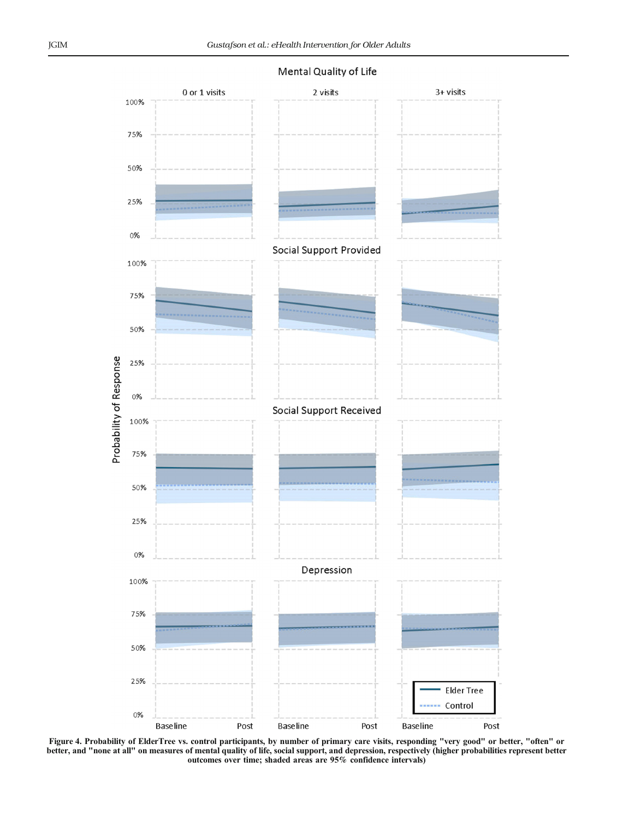<span id="page-6-0"></span>

## Mental Quality of Life

Figure 4. Probability of ElderTree vs. control participants, by number of primary care visits, responding "very good" or better, "often" or better, and "none at all" on measures of mental quality of life, social support, and depression, respectively (higher probabilities represent better outcomes over time; shaded areas are 95% confidence intervals)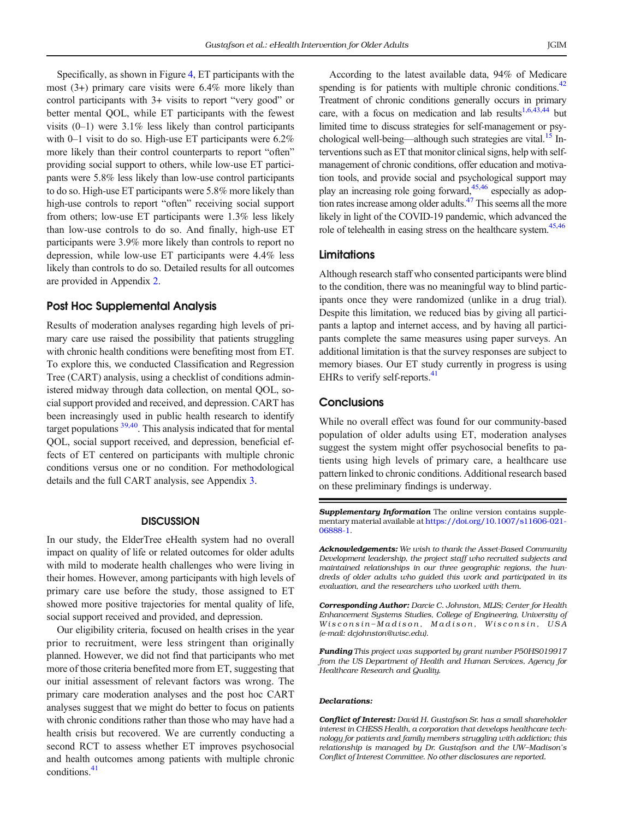Specifically, as shown in Figure [4](#page-6-0), ET participants with the most (3+) primary care visits were 6.4% more likely than control participants with 3+ visits to report "very good" or better mental QOL, while ET participants with the fewest visits  $(0-1)$  were 3.1% less likely than control participants with 0–1 visit to do so. High-use ET participants were 6.2% more likely than their control counterparts to report "often" providing social support to others, while low-use ET participants were 5.8% less likely than low-use control participants to do so. High-use ET participants were 5.8% more likely than high-use controls to report "often" receiving social support from others; low-use ET participants were 1.3% less likely than low-use controls to do so. And finally, high-use ET participants were 3.9% more likely than controls to report no depression, while low-use ET participants were 4.4% less likely than controls to do so. Detailed results for all outcomes are provided in Appendix 2.

### Post Hoc Supplemental Analysis

Results of moderation analyses regarding high levels of primary care use raised the possibility that patients struggling with chronic health conditions were benefiting most from ET. To explore this, we conducted Classification and Regression Tree (CART) analysis, using a checklist of conditions administered midway through data collection, on mental QOL, social support provided and received, and depression. CART has been increasingly used in public health research to identify target populations  $39,40$ . This analysis indicated that for mental QOL, social support received, and depression, beneficial effects of ET centered on participants with multiple chronic conditions versus one or no condition. For methodological details and the full CART analysis, see Appendix 3.

### **DISCUSSION**

In our study, the ElderTree eHealth system had no overall impact on quality of life or related outcomes for older adults with mild to moderate health challenges who were living in their homes. However, among participants with high levels of primary care use before the study, those assigned to ET showed more positive trajectories for mental quality of life, social support received and provided, and depression.

Our eligibility criteria, focused on health crises in the year prior to recruitment, were less stringent than originally planned. However, we did not find that participants who met more of those criteria benefited more from ET, suggesting that our initial assessment of relevant factors was wrong. The primary care moderation analyses and the post hoc CART analyses suggest that we might do better to focus on patients with chronic conditions rather than those who may have had a health crisis but recovered. We are currently conducting a second RCT to assess whether ET improves psychosocial and health outcomes among patients with multiple chronic conditions. $41$ 

According to the latest available data, 94% of Medicare spending is for patients with multiple chronic conditions. $42$ Treatment of chronic conditions generally occurs in primary care, with a focus on medication and lab results<sup>[1,6](#page-8-0)[,43,44](#page-9-0)</sup> but limited time to discuss strategies for self-management or psychological well-being—although such strategies are vital.<sup>15</sup> Interventions such as ET that monitor clinical signs, help with selfmanagement of chronic conditions, offer education and motivation tools, and provide social and psychological support may play an increasing role going forward, $45,46$  especially as adoption rates increase among older adults[.47](#page-9-0) This seems all the more likely in light of the COVID-19 pandemic, which advanced the role of telehealth in easing stress on the healthcare system.<sup>45,46</sup>

### **Limitations**

Although research staff who consented participants were blind to the condition, there was no meaningful way to blind participants once they were randomized (unlike in a drug trial). Despite this limitation, we reduced bias by giving all participants a laptop and internet access, and by having all participants complete the same measures using paper surveys. An additional limitation is that the survey responses are subject to memory biases. Our ET study currently in progress is using EHRs to verify self-reports.<sup>41</sup>

## **Conclusions**

While no overall effect was found for our community-based population of older adults using ET, moderation analyses suggest the system might offer psychosocial benefits to patients using high levels of primary care, a healthcare use pattern linked to chronic conditions. Additional research based on these preliminary findings is underway.

Supplementary Information The online version contains supplementary material available at [https://doi.org/10.1007/s11606-021-](http://dx.doi.org/http://creativecommons.org/licenses/by/4.0/) [06888-1.](http://dx.doi.org/http://creativecommons.org/licenses/by/4.0/)

Acknowledgements: We wish to thank the Asset-Based Community Development leadership, the project staff who recruited subjects and maintained relationships in our three geographic regions, the hundreds of older adults who guided this work and participated in its evaluation, and the researchers who worked with them.

Corresponding Author: Darcie C. Johnston, MLIS; Center for Health Enhancement Systems Studies, College of Engineering, University of Wisconsin – Madison, Madison, Wisconsin, USA (e-mail: dcjohnston@wisc.edu).

Funding This project was supported by grant number P50HS019917 from the US Department of Health and Human Services, Agency for Healthcare Research and Quality.

#### Declarations:

Conflict of Interest: David H. Gustafson Sr. has a small shareholder interest in CHESS Health, a corporation that develops healthcare technology for patients and family members struggling with addiction; this relationship is managed by Dr. Gustafson and the UW–Madison's Conflict of Interest Committee. No other disclosures are reported.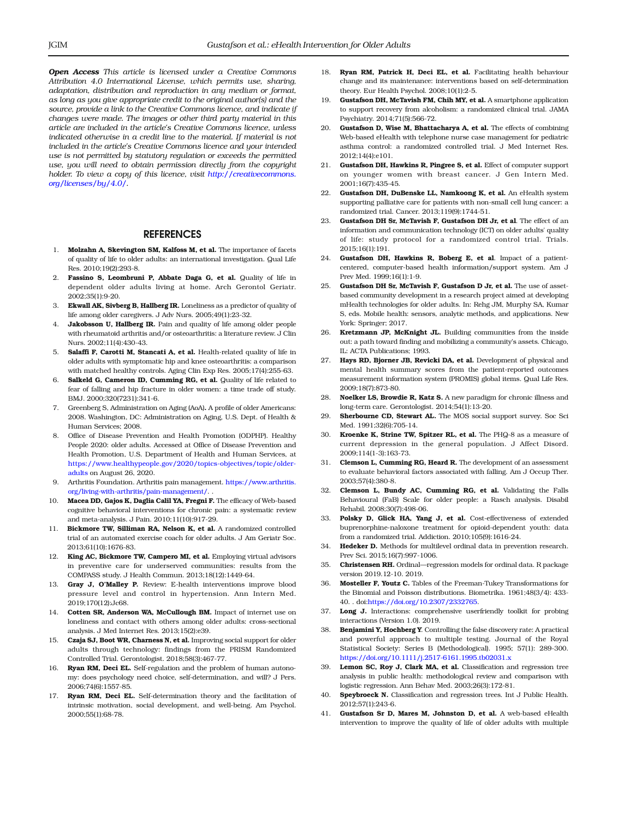<span id="page-8-0"></span>**Open Access** This article is licensed under a Creative Commons Attribution 4.0 International License, which permits use, sharing, adaptation, distribution and reproduction in any medium or format, as long as you give appropriate credit to the original author(s) and the source, provide a link to the Creative Commons licence, and indicate if changes were made. The images or other third party material in this article are included in the article's Creative Commons licence, unless indicated otherwise in a credit line to the material. If material is not included in the article's Creative Commons licence and your intended use is not permitted by statutory regulation or exceeds the permitted use, you will need to obtain permission directly from the copyright holder. To view a copy of this licence, visit [http://creativecommons.](http://dx.doi.org/http://creativecommons.org/licenses/by/4.0/) [org/licenses/by/4.0/.](http://dx.doi.org/http://creativecommons.org/licenses/by/4.0/)

### **REFERENCES**

- 1. **Molzahn A, Skevington SM, Kalfoss M, et al.** The importance of facets of quality of life to older adults: an international investigation. Qual Life Res. 2010;19(2):293-8.
- 2. Fassino S, Leombruni P, Abbate Daga G, et al. Quality of life in dependent older adults living at home. Arch Gerontol Geriatr. 2002;35(1):9-20.
- 3. Ekwall AK, Sivberg B, Hallberg IR. Loneliness as a predictor of quality of life among older caregivers. J Adv Nurs. 2005;49(1):23-32.
- 4. Jakobsson U, Hallberg IR. Pain and quality of life among older people with rheumatoid arthritis and/or osteoarthritis: a literature review. J Clin Nurs. 2002;11(4):430-43.
- Salaffi F, Carotti M, Stancati A, et al. Health-related quality of life in older adults with symptomatic hip and knee osteoarthritis: a comparison with matched healthy controls. Aging Clin Exp Res. 2005;17(4):255-63.
- Salkeld G, Cameron ID, Cumming RG, et al. Quality of life related to fear of falling and hip fracture in older women: a time trade off study. BMJ. 2000;320(7231):341-6.
- 7. Greenberg S, Administration on Aging (AoA). A profile of older Americans: 2008. Washington, DC: Administration on Aging, U.S. Dept. of Health & Human Services; 2008.
- 8. Office of Disease Prevention and Health Promotion (ODPHP). Healthy People 2020: older adults. Accessed at Office of Disease Prevention and Health Promotion, U.S. Department of Health and Human Services, at [https://www.healthypeople.gov/2020/topics-objectives/topic/older](http://dx.doi.org/https://www.healthypeople.gov/2020/topics-objectives/topic/older-adults)[adults](http://dx.doi.org/https://www.healthypeople.gov/2020/topics-objectives/topic/older-adults) on August 26, 2020.
- 9. Arthritis Foundation. Arthritis pain management. [https://www.arthritis.](http://dx.doi.org/https://www.arthritis.org/living-with-arthritis/pain-management/) [org/living-with-arthritis/pain-management/](http://dx.doi.org/https://www.arthritis.org/living-with-arthritis/pain-management/). .
- 10. Macea DD, Gajos K, Daglia Calil YA, Fregni F. The efficacy of Web-based cognitive behavioral interventions for chronic pain: a systematic review and meta-analysis. J Pain. 2010;11(10):917-29.
- 11. Bickmore TW, Silliman RA, Nelson K, et al. A randomized controlled trial of an automated exercise coach for older adults. J Am Geriatr Soc. 2013;61(10):1676-83.
- 12. King AC, Bickmore TW, Campero MI, et al. Employing virtual advisors in preventive care for underserved communities: results from the COMPASS study. J Health Commun. 2013;18(12):1449-64.
- 13. Gray J, O'Malley P. Review: E-health interventions improve blood pressure level and control in hypertension. Ann Intern Med. 2019;170(12):Jc68.
- 14. Cotten SR, Anderson WA, McCullough BM. Impact of internet use on loneliness and contact with others among older adults: cross-sectional analysis. J Med Internet Res. 2013;15(2):e39.
- 15. Czaja SJ, Boot WR, Charness N, et al. Improving social support for older adults through technology: findings from the PRISM Randomized Controlled Trial. Gerontologist. 2018;58(3):467-77.
- 16. Ryan RM, Deci EL. Self-regulation and the problem of human autonomy: does psychology need choice, self-determination, and will? J Pers. 2006;74(6):1557-85.
- 17. Ryan RM, Deci EL. Self-determination theory and the facilitation of intrinsic motivation, social development, and well-being. Am Psychol. 2000;55(1):68-78.
- 18. Ryan RM, Patrick H, Deci EL, et al. Facilitating health behaviour change and its maintenance: interventions based on self-determination theory. Eur Health Psychol. 2008;10(1):2-5.
- 19. Gustafson DH, McTavish FM, Chih MY, et al. A smartphone application to support recovery from alcoholism: a randomized clinical trial. JAMA Psychiatry. 2014;71(5):566-72.
- 20. Gustafson D, Wise M, Bhattacharya A, et al. The effects of combining Web-based eHealth with telephone nurse case management for pediatric asthma control: a randomized controlled trial. J Med Internet Res. 2012;14(4):e101.
- 21. Gustafson DH, Hawkins R, Pingree S, et al. Effect of computer support on younger women with breast cancer. J Gen Intern Med. 2001;16(7):435-45.
- 22. Gustafson DH, DuBenske LL, Namkoong K, et al. An eHealth system supporting palliative care for patients with non-small cell lung cancer: a randomized trial. Cancer. 2013;119(9):1744-51.
- 23. Gustafson DH Sr, McTavish F, Gustafson DH Jr, et al. The effect of an information and communication technology (ICT) on older adults' quality of life: study protocol for a randomized control trial. Trials. 2015;16(1):191.
- 24. Gustafson DH, Hawkins R, Boberg E, et al. Impact of a patientcentered, computer-based health information/support system. Am J Prev Med. 1999;16(1):1-9.
- 25. Gustafson DH Sr, McTavish F, Gustafson D Jr, et al. The use of assetbased community development in a research project aimed at developing mHealth technologies for older adults. In: Rehg JM, Murphy SA, Kumar S, eds. Mobile health: sensors, analytic methods, and applications. New York: Springer; 2017.
- 26. Kretzmann JP, McKnight JL. Building communities from the inside out: a path toward finding and mobilizing a community's assets. Chicago, IL: ACTA Publications; 1993.
- 27. Hays RD, Bjorner JB, Revicki DA, et al. Development of physical and mental health summary scores from the patient-reported outcomes measurement information system (PROMIS) global items. Qual Life Res. 2009;18(7):873-80.
- 28. Noelker LS, Browdie R, Katz S. A new paradigm for chronic illness and long-term care. Gerontologist. 2014;54(1):13-20.
- 29. Sherbourne CD, Stewart AL. The MOS social support survey. Soc Sci Med. 1991;32(6):705-14.
- 30. Kroenke K, Strine TW, Spitzer RL, et al. The PHQ-8 as a measure of current depression in the general population. J Affect Disord. 2009;114(1-3):163-73.
- 31. Clemson L, Cumming RG, Heard R. The development of an assessment to evaluate behavioral factors associated with falling. Am J Occup Ther. 2003;57(4):380-8.
- 32. Clemson L, Bundy AC, Cumming RG, et al. Validating the Falls Behavioural (FaB) Scale for older people: a Rasch analysis. Disabil Rehabil. 2008;30(7):498-06.
- 33. Polsky D, Glick HA, Yang J, et al. Cost-effectiveness of extended buprenorphine-naloxone treatment for opioid-dependent youth: data from a randomized trial. Addiction. 2010;105(9):1616-24.
- 34. **Hedeker D.** Methods for multilevel ordinal data in prevention research. Prev Sci. 2015;16(7):997-1006.
- 35. Christensen RH. Ordinal—regression models for ordinal data. R package version 2019.12-10. 2019.
- 36. Mosteller F, Youtz C. Tables of the Freeman-Tukey Transformations for the Binomial and Poisson distributions. Biometrika. 1961;48(3/4): 433- 40. . doi[:https://doi.org/10.2307/2332765.](http://dx.doi.org/10.2307/2332765)
- 37. Long J. Interactions: comprehensive userfriendly toolkit for probing interactions (Version 1.0). 2019.
- 38. Benjamini Y, Hochberg Y. Controlling the false discovery rate: A practical and powerful approach to multiple testing. Journal of the Royal Statistical Society: Series B (Methodological). 1995; 57(1): 289-300. [https://doi.org/10.1111/j.2517-6161.1995.tb02031.x](http://dx.doi.org/10.1111/j.2517-6161.1995.tb02031.x)
- 39. Lemon SC, Roy J, Clark MA, et al. Classification and regression tree analysis in public health: methodological review and comparison with logistic regression. Ann Behav Med. 2003;26(3):172-81.
- 40. Speybroeck N. Classification and regression trees. Int J Public Health. 2012;57(1):243-6.
- 41. Gustafson Sr D, Mares M, Johnston D, et al. A web-based eHealth intervention to improve the quality of life of older adults with multiple